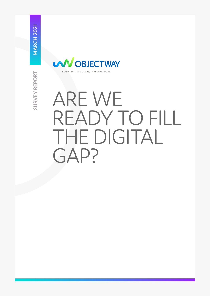

# ARE WE READY TO FILL THE DIGITAL GAP?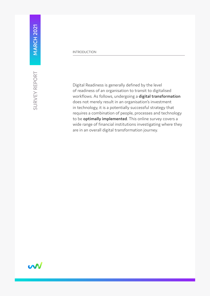SURVEY REPORT

#### INTRODUCTION

Digital Readiness is generally defined by the level of readiness of an organisation to transit to digitalised workflows. As follows, undergoing a **digital transformation** does not merely result in an organisation's investment in technology, it is a potentially successful strategy that requires a combination of people, processes and technology to be **optimally implemented**. This online survey covers a wide range of financial institutions investigating where they are in an overall digital transformation journey.

w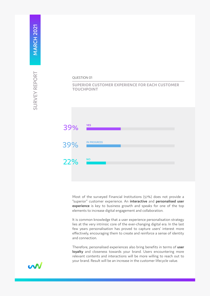

## **SUPERIOR CUSTOMER EXPERIENCE FOR EACH CUSTOMER TOUCHPOINT**



Most of the surveyed Financial Institutions (57%) does not provide a "superior" customer experience. An **interactive** and **personalised user experience** is key to business growth and speaks for one of the top elements to increase digital engagement and collaboration.

It is common knowledge that a user experience personalisation strategy lies at the very intrinsic core of the ever-changing digital era. In the last few years personalisation has proved to capture users' interest more effectively, encouraging them to create and reinforce a sense of identity and connection.

Therefore, personalised experiences also bring benefits in terms of **user**  loyalty and closeness towards your brand. Users encountering more relevant contents and interactions will be more willing to reach out to your brand. Result will be an increase in the customer lifecycle value.

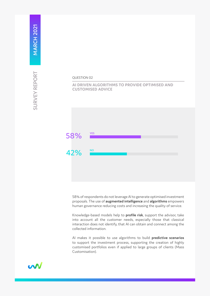#### QUESTION 02

#### **AI DRIVEN ALGORITHMS TO PROVIDE OPTIMISED AND CUSTOMISED ADVICE**



58% of respondents do not leverage AI to generate optimised investment proposals. The use of **augmented intelligence** and **algorithms** empowers human governance reducing costs and increasing the quality of service.

Knowledge-based models help to **profile risk**, support the advisor, take into account all the customer needs, especially those that classical interaction does not identify, that AI can obtain and connect among the collected information.

AI makes it possible to use algorithms to build **predictive scenarios** to support the investment process, supporting the creation of highly customised portfolios even if applied to large groups of clients (Mass Customisation).

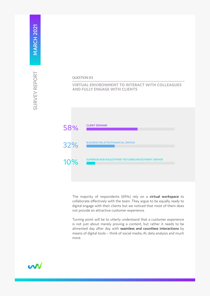#### QUESTION 03

#### **VIRTUAL ENVIRONMENT TO INTERACT WITH COLLEAGUES AND FULLY ENGAGE WITH CLIENTS**



The majority of respondents (69%) rely on a **virtual workspace** to collaborate effectively with the team. They argue to be equally ready to digital engage with their clients but we noticed that most of them does not provide an attractive customer experience.

Turning point will be to utterly understand that a customer experience is not just about merely proving a content, but rather it needs to be alimented day after day with **seamless and countless interactions** by means of digital tools – think of social media, AI, data analysis and much more.

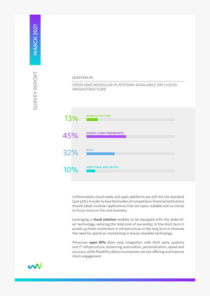#### QUESTION 04

### **OPEN AND MODULAR PLATFORM AVAILABLE ON CLOUD INFRASTRUCTURE**



Unfortunately cloud-ready and open platforms are still not the standard (just 43%). In order to face the burden of competition, financial institutions should adopt modular applications that are open, scalable and on-cloud, to focus more on the core business.

Leveraging a **cloud solution** enables to be equipped with the state-ofart technology, reducing the total cost of ownership. In the short term it avoids up-front investment in infrastructure; in the long term it removes the need for spend on maintaining in-house obsolete technology.

Moreover, **open APis** allow easy integration with third party systems and IT infrastructure, enhancing automation, personalization, speed and accuracy, while flexibility allows to empower service offering and improve client engagement.

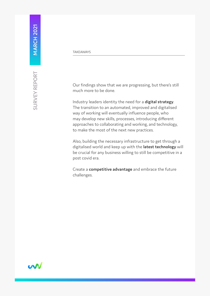**MARCH 2021** 

Our findings show that we are progressing, but there's still much more to be done.

Industry leaders identity the need for a **digital strategy**. The transition to an automated, improved and digitalised way of working will eventually influence people, who may develop new skills, processes, introducing different approaches to collaborating and working, and technology, to make the most of the next new practices.

Also, building the necessary infrastructure to get through a digitalised world and keep up with the **latest technology** will be crucial for any business willing to still be competitive in a post covid era.

Create a **competitive advantage** and embrace the future challenges.